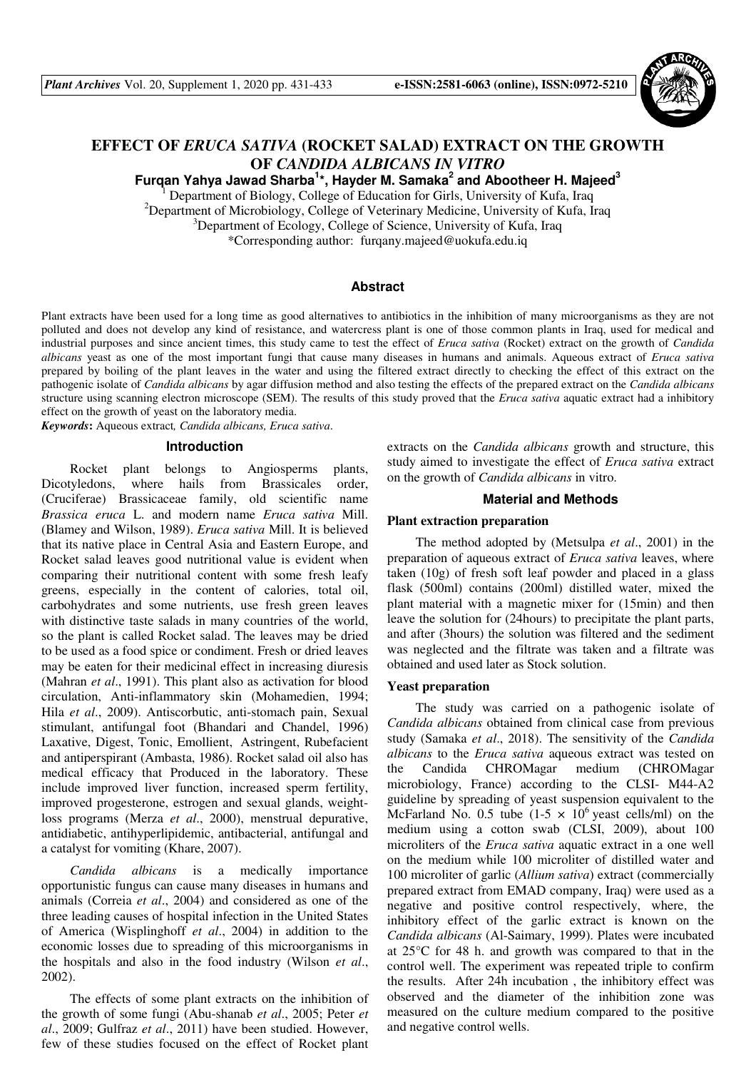

# **EFFECT OF** *ERUCA SATIVA* **(ROCKET SALAD) EXTRACT ON THE GROWTH OF** *CANDIDA ALBICANS IN VITRO*

**Furqan Yahya Jawad Sharba<sup>1</sup> \*, Hayder M. Samaka<sup>2</sup> and Abootheer H. Majeed<sup>3</sup>**

1 Department of Biology, College of Education for Girls, University of Kufa, Iraq <sup>2</sup>Department of Microbiology, College of Veterinary Medicine, University of Kufa, Iraq <sup>3</sup>Department of Ecology, College of Science, University of Kufa, Iraq \*Corresponding author:furqany.majeed@uokufa.edu.iq

## **Abstract**

Plant extracts have been used for a long time as good alternatives to antibiotics in the inhibition of many microorganisms as they are not polluted and does not develop any kind of resistance, and watercress plant is one of those common plants in Iraq, used for medical and industrial purposes and since ancient times, this study came to test the effect of *Eruca sativa* (Rocket) extract on the growth of *Candida albicans* yeast as one of the most important fungi that cause many diseases in humans and animals. Aqueous extract of *Eruca sativa*  prepared by boiling of the plant leaves in the water and using the filtered extract directly to checking the effect of this extract on the pathogenic isolate of *Candida albicans* by agar diffusion method and also testing the effects of the prepared extract on the *Candida albicans* structure using scanning electron microscope (SEM). The results of this study proved that the *Eruca sativa* aquatic extract had a inhibitory effect on the growth of yeast on the laboratory media.

*Keywords***:** Aqueous extract*, Candida albicans, Eruca sativa*.

### **Introduction**

Rocket plant belongs to Angiosperms plants, Dicotyledons, where hails from Brassicales order, (Cruciferae) Brassicaceae family, old scientific name *Brassica eruca* L. and modern name *Eruca sativa* Mill. (Blamey and Wilson, 1989). *Eruca sativa* Mill. It is believed that its native place in Central Asia and Eastern Europe, and Rocket salad leaves good nutritional value is evident when comparing their nutritional content with some fresh leafy greens, especially in the content of calories, total oil, carbohydrates and some nutrients, use fresh green leaves with distinctive taste salads in many countries of the world, so the plant is called Rocket salad. The leaves may be dried to be used as a food spice or condiment. Fresh or dried leaves may be eaten for their medicinal effect in increasing diuresis (Mahran *et al*., 1991). This plant also as activation for blood circulation, Anti-inflammatory skin (Mohamedien, 1994; Hila *et al*., 2009). Antiscorbutic, anti-stomach pain, Sexual stimulant, antifungal foot (Bhandari and Chandel, 1996) Laxative, Digest, Tonic, Emollient, Astringent, Rubefacient and antiperspirant (Ambasta, 1986). Rocket salad oil also has medical efficacy that Produced in the laboratory. These include improved liver function, increased sperm fertility, improved progesterone, estrogen and sexual glands, weightloss programs (Merza *et al*., 2000), menstrual depurative, antidiabetic, antihyperlipidemic, antibacterial, antifungal and a catalyst for vomiting (Khare, 2007).

*Candida albicans* is a medically importance opportunistic fungus can cause many diseases in humans and animals (Correia *et al*., 2004) and considered as one of the three leading causes of hospital infection in the United States of America (Wisplinghoff *et al*., 2004) in addition to the economic losses due to spreading of this microorganisms in the hospitals and also in the food industry (Wilson *et al*., 2002).

The effects of some plant extracts on the inhibition of the growth of some fungi (Abu-shanab *et al*., 2005; Peter *et al*., 2009; Gulfraz *et al*., 2011) have been studied. However, few of these studies focused on the effect of Rocket plant extracts on the *Candida albicans* growth and structure, this study aimed to investigate the effect of *Eruca sativa* extract on the growth of *Candida albicans* in vitro.

### **Material and Methods**

## **Plant extraction preparation**

The method adopted by (Metsulpa *et al*., 2001) in the preparation of aqueous extract of *Eruca sativa* leaves, where taken (10g) of fresh soft leaf powder and placed in a glass flask (500ml) contains (200ml) distilled water, mixed the plant material with a magnetic mixer for (15min) and then leave the solution for (24hours) to precipitate the plant parts, and after (3hours) the solution was filtered and the sediment was neglected and the filtrate was taken and a filtrate was obtained and used later as Stock solution.

### **Yeast preparation**

The study was carried on a pathogenic isolate of *Candida albicans* obtained from clinical case from previous study (Samaka *et al*., 2018). The sensitivity of the *Candida albicans* to the *Eruca sativa* aqueous extract was tested on the Candida CHROMagar medium (CHROMagar microbiology, France) according to the CLSI- M44-A2 guideline by spreading of yeast suspension equivalent to the McFarland No. 0.5 tube  $(1-5 \times 10^6 \text{ years})$  cells/ml) on the medium using a cotton swab (CLSI, 2009), about 100 microliters of the *Eruca sativa* aquatic extract in a one well on the medium while 100 microliter of distilled water and 100 microliter of garlic (*Allium sativa*) extract (commercially prepared extract from EMAD company, Iraq) were used as a negative and positive control respectively, where, the inhibitory effect of the garlic extract is known on the *Candida albicans* (Al-Saimary, 1999). Plates were incubated at 25°C for 48 h. and growth was compared to that in the control well. The experiment was repeated triple to confirm the results. After 24h incubation , the inhibitory effect was observed and the diameter of the inhibition zone was measured on the culture medium compared to the positive and negative control wells.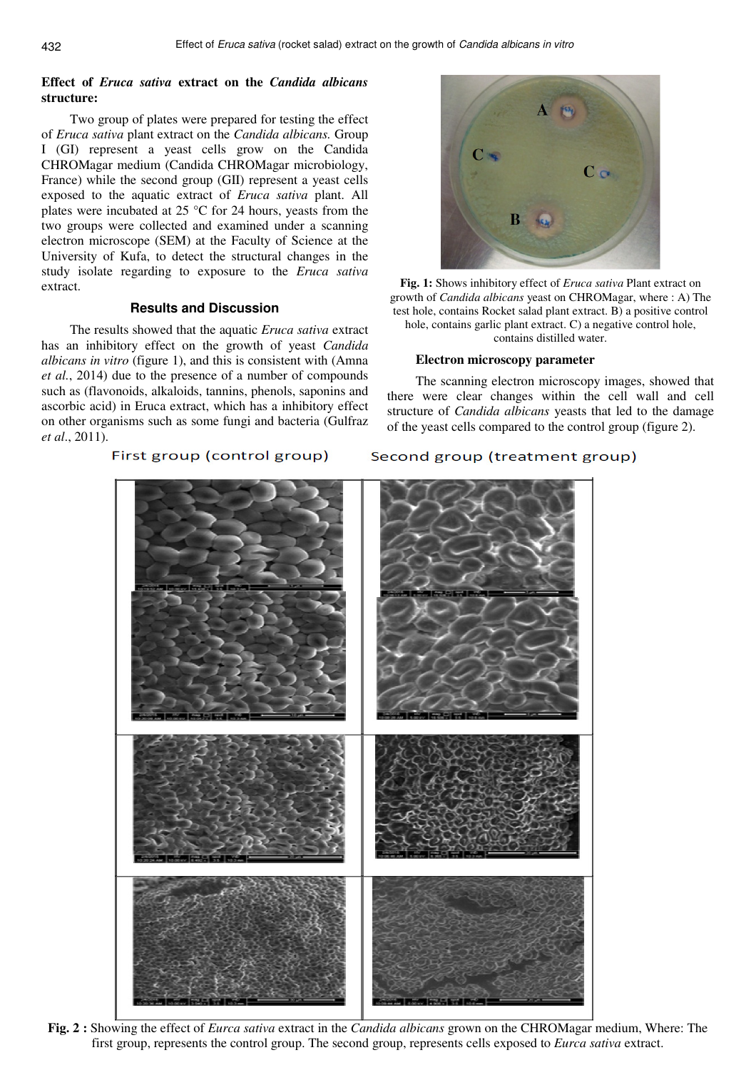# **Effect of** *Eruca sativa* **extract on the** *Candida albicans* **structure:**

Two group of plates were prepared for testing the effect of *Eruca sativa* plant extract on the *Candida albicans.* Group I (GI) represent a yeast cells grow on the Candida CHROMagar medium (Candida CHROMagar microbiology, France) while the second group (GII) represent a yeast cells exposed to the aquatic extract of *Eruca sativa* plant. All plates were incubated at 25 °C for 24 hours, yeasts from the two groups were collected and examined under a scanning electron microscope (SEM) at the Faculty of Science at the University of Kufa, to detect the structural changes in the study isolate regarding to exposure to the *Eruca sativa* extract.

## **Results and Discussion**

The results showed that the aquatic *Eruca sativa* extract has an inhibitory effect on the growth of yeast *Candida albicans in vitro* (figure 1), and this is consistent with (Amna *et al.*, 2014) due to the presence of a number of compounds such as (flavonoids, alkaloids, tannins, phenols, saponins and ascorbic acid) in Eruca extract, which has a inhibitory effect on other organisms such as some fungi and bacteria (Gulfraz *et al*., 2011).

# First group (control group)



**Fig. 1:** Shows inhibitory effect of *Eruca sativa* Plant extract on growth of *Candida albicans* yeast on CHROMagar, where : A) The test hole, contains Rocket salad plant extract. B) a positive control hole, contains garlic plant extract. C) a negative control hole, contains distilled water.

## **Electron microscopy parameter**

The scanning electron microscopy images, showed that there were clear changes within the cell wall and cell structure of *Candida albicans* yeasts that led to the damage of the yeast cells compared to the control group (figure 2).

## Second group (treatment group)



**Fig. 2 :** Showing the effect of *Eurca sativa* extract in the *Candida albicans* grown on the CHROMagar medium, Where: The first group, represents the control group. The second group, represents cells exposed to *Eurca sativa* extract.